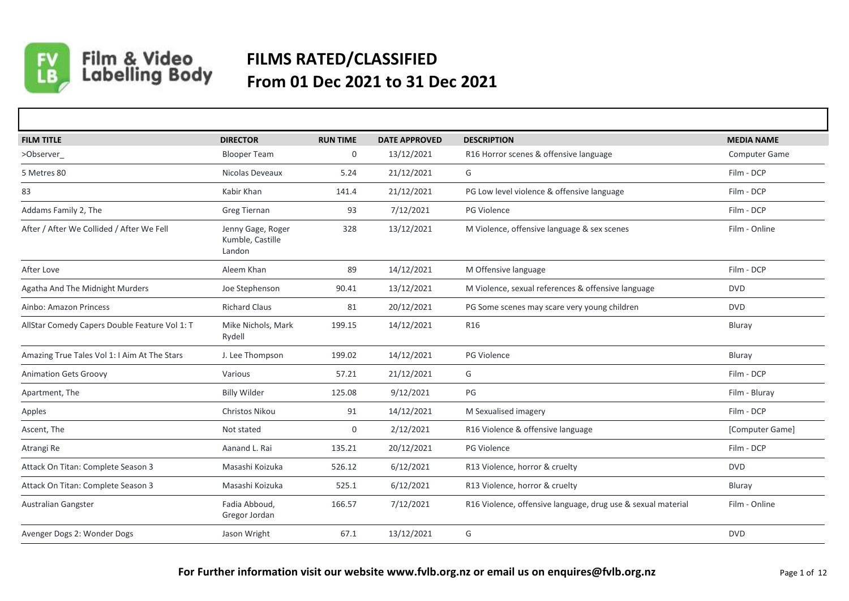

Film & Video<br>Labelling Body

## **FILMS RATED/CLASSIFIED From 01 Dec 2021 to 31 Dec 2021**

| <b>FILM TITLE</b>                             | <b>DIRECTOR</b>                                 | <b>RUN TIME</b> | <b>DATE APPROVED</b> | <b>DESCRIPTION</b>                                           | <b>MEDIA NAME</b>    |
|-----------------------------------------------|-------------------------------------------------|-----------------|----------------------|--------------------------------------------------------------|----------------------|
| >Observer                                     | <b>Blooper Team</b>                             | 0               | 13/12/2021           | R16 Horror scenes & offensive language                       | <b>Computer Game</b> |
| 5 Metres 80                                   | Nicolas Deveaux                                 | 5.24            | 21/12/2021           | G                                                            | Film - DCP           |
| 83                                            | Kabir Khan                                      | 141.4           | 21/12/2021           | PG Low level violence & offensive language                   | Film - DCP           |
| Addams Family 2, The                          | <b>Greg Tiernan</b>                             | 93              | 7/12/2021            | <b>PG Violence</b>                                           | Film - DCP           |
| After / After We Collided / After We Fell     | Jenny Gage, Roger<br>Kumble, Castille<br>Landon | 328             | 13/12/2021           | M Violence, offensive language & sex scenes                  | Film - Online        |
| After Love                                    | Aleem Khan                                      | 89              | 14/12/2021           | M Offensive language                                         | Film - DCP           |
| Agatha And The Midnight Murders               | Joe Stephenson                                  | 90.41           | 13/12/2021           | M Violence, sexual references & offensive language           | <b>DVD</b>           |
| Ainbo: Amazon Princess                        | <b>Richard Claus</b>                            | 81              | 20/12/2021           | PG Some scenes may scare very young children                 | <b>DVD</b>           |
| AllStar Comedy Capers Double Feature Vol 1: T | Mike Nichols, Mark<br>Rydell                    | 199.15          | 14/12/2021           | R <sub>16</sub>                                              | Bluray               |
| Amazing True Tales Vol 1: I Aim At The Stars  | J. Lee Thompson                                 | 199.02          | 14/12/2021           | PG Violence                                                  | Bluray               |
| <b>Animation Gets Groovy</b>                  | Various                                         | 57.21           | 21/12/2021           | G                                                            | Film - DCP           |
| Apartment, The                                | <b>Billy Wilder</b>                             | 125.08          | 9/12/2021            | PG                                                           | Film - Bluray        |
| Apples                                        | <b>Christos Nikou</b>                           | 91              | 14/12/2021           | M Sexualised imagery                                         | Film - DCP           |
| Ascent, The                                   | Not stated                                      | $\mathbf{0}$    | 2/12/2021            | R16 Violence & offensive language                            | [Computer Game]      |
| Atrangi Re                                    | Aanand L. Rai                                   | 135.21          | 20/12/2021           | <b>PG Violence</b>                                           | Film - DCP           |
| Attack On Titan: Complete Season 3            | Masashi Koizuka                                 | 526.12          | 6/12/2021            | R13 Violence, horror & cruelty                               | <b>DVD</b>           |
| Attack On Titan: Complete Season 3            | Masashi Koizuka                                 | 525.1           | 6/12/2021            | R13 Violence, horror & cruelty                               | Bluray               |
| Australian Gangster                           | Fadia Abboud,<br>Gregor Jordan                  | 166.57          | 7/12/2021            | R16 Violence, offensive language, drug use & sexual material | Film - Online        |
| Avenger Dogs 2: Wonder Dogs                   | Jason Wright                                    | 67.1            | 13/12/2021           | G                                                            | <b>DVD</b>           |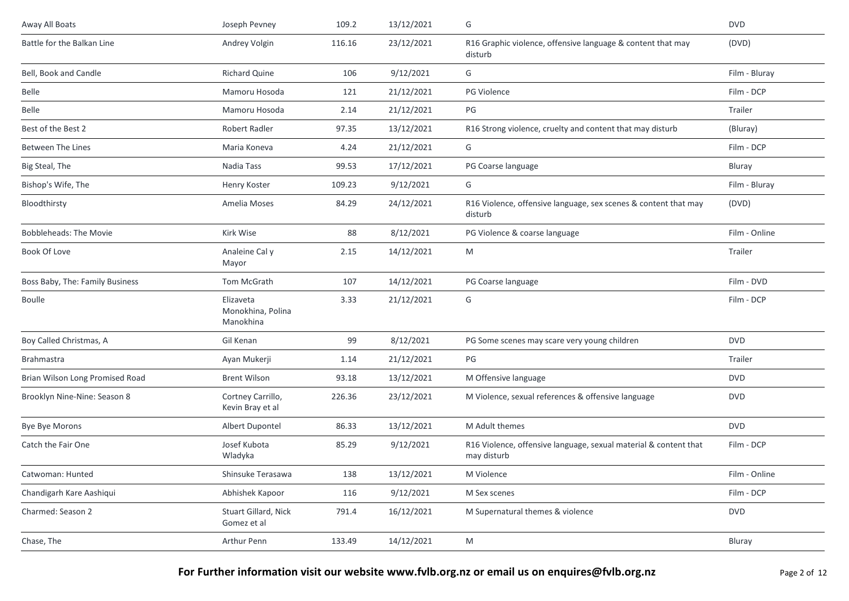| Away All Boats                  | Joseph Pevney                               | 109.2  | 13/12/2021 | G                                                                               | <b>DVD</b>    |
|---------------------------------|---------------------------------------------|--------|------------|---------------------------------------------------------------------------------|---------------|
| Battle for the Balkan Line      | Andrey Volgin                               | 116.16 | 23/12/2021 | R16 Graphic violence, offensive language & content that may<br>disturb          | (DVD)         |
| Bell, Book and Candle           | Richard Quine                               | 106    | 9/12/2021  | G                                                                               | Film - Bluray |
| Belle                           | Mamoru Hosoda                               | 121    | 21/12/2021 | PG Violence                                                                     | Film - DCP    |
| Belle                           | Mamoru Hosoda                               | 2.14   | 21/12/2021 | PG                                                                              | Trailer       |
| Best of the Best 2              | Robert Radler                               | 97.35  | 13/12/2021 | R16 Strong violence, cruelty and content that may disturb                       | (Bluray)      |
| <b>Between The Lines</b>        | Maria Koneva                                | 4.24   | 21/12/2021 | G                                                                               | Film - DCP    |
| Big Steal, The                  | Nadia Tass                                  | 99.53  | 17/12/2021 | PG Coarse language                                                              | Bluray        |
| Bishop's Wife, The              | Henry Koster                                | 109.23 | 9/12/2021  | G                                                                               | Film - Bluray |
| Bloodthirsty                    | Amelia Moses                                | 84.29  | 24/12/2021 | R16 Violence, offensive language, sex scenes & content that may<br>disturb      | (DVD)         |
| <b>Bobbleheads: The Movie</b>   | Kirk Wise                                   | 88     | 8/12/2021  | PG Violence & coarse language                                                   | Film - Online |
| Book Of Love                    | Analeine Cal y<br>Mayor                     | 2.15   | 14/12/2021 | M                                                                               | Trailer       |
| Boss Baby, The: Family Business | Tom McGrath                                 | 107    | 14/12/2021 | PG Coarse language                                                              | Film - DVD    |
| <b>Boulle</b>                   | Elizaveta<br>Monokhina, Polina<br>Manokhina | 3.33   | 21/12/2021 | G                                                                               | Film - DCP    |
| Boy Called Christmas, A         | Gil Kenan                                   | 99     | 8/12/2021  | PG Some scenes may scare very young children                                    | <b>DVD</b>    |
| <b>Brahmastra</b>               | Ayan Mukerji                                | 1.14   | 21/12/2021 | PG                                                                              | Trailer       |
| Brian Wilson Long Promised Road | <b>Brent Wilson</b>                         | 93.18  | 13/12/2021 | M Offensive language                                                            | <b>DVD</b>    |
| Brooklyn Nine-Nine: Season 8    | Cortney Carrillo,<br>Kevin Bray et al       | 226.36 | 23/12/2021 | M Violence, sexual references & offensive language                              | <b>DVD</b>    |
| Bye Bye Morons                  | Albert Dupontel                             | 86.33  | 13/12/2021 | M Adult themes                                                                  | <b>DVD</b>    |
| Catch the Fair One              | Josef Kubota<br>Wladyka                     | 85.29  | 9/12/2021  | R16 Violence, offensive language, sexual material & content that<br>may disturb | Film - DCP    |
| Catwoman: Hunted                | Shinsuke Terasawa                           | 138    | 13/12/2021 | M Violence                                                                      | Film - Online |
| Chandigarh Kare Aashiqui        | Abhishek Kapoor                             | 116    | 9/12/2021  | M Sex scenes                                                                    | Film - DCP    |
| Charmed: Season 2               | Stuart Gillard, Nick<br>Gomez et al         | 791.4  | 16/12/2021 | M Supernatural themes & violence                                                | <b>DVD</b>    |
| Chase, The                      | Arthur Penn                                 | 133.49 | 14/12/2021 | M                                                                               | Bluray        |
|                                 |                                             |        |            |                                                                                 |               |

For Further information visit our website www.fvlb.org.nz or email us on enquires@fvlb.org.nz<br>Page 2 of 12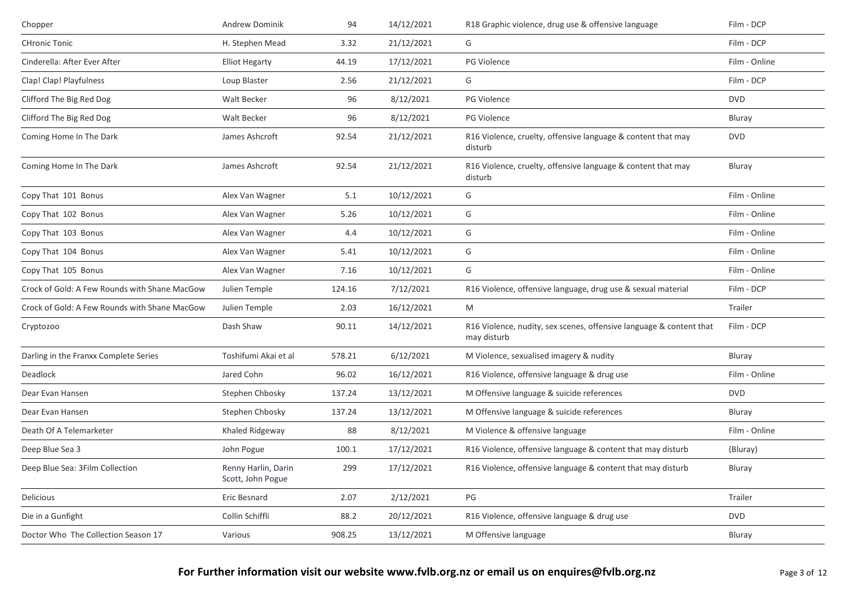| Chopper                                       | <b>Andrew Dominik</b>                    | 94     | 14/12/2021 | R18 Graphic violence, drug use & offensive language                                | Film - DCP    |
|-----------------------------------------------|------------------------------------------|--------|------------|------------------------------------------------------------------------------------|---------------|
| <b>CHronic Tonic</b>                          | H. Stephen Mead                          | 3.32   | 21/12/2021 | G                                                                                  | Film - DCP    |
| Cinderella: After Ever After                  | <b>Elliot Hegarty</b>                    | 44.19  | 17/12/2021 | PG Violence                                                                        | Film - Online |
| Clap! Clap! Playfulness                       | Loup Blaster                             | 2.56   | 21/12/2021 | G                                                                                  | Film - DCP    |
| Clifford The Big Red Dog                      | Walt Becker                              | 96     | 8/12/2021  | <b>PG Violence</b>                                                                 | <b>DVD</b>    |
| Clifford The Big Red Dog                      | Walt Becker                              | 96     | 8/12/2021  | PG Violence                                                                        | Bluray        |
| Coming Home In The Dark                       | James Ashcroft                           | 92.54  | 21/12/2021 | R16 Violence, cruelty, offensive language & content that may<br>disturb            | <b>DVD</b>    |
| Coming Home In The Dark                       | James Ashcroft                           | 92.54  | 21/12/2021 | R16 Violence, cruelty, offensive language & content that may<br>disturb            | Bluray        |
| Copy That 101 Bonus                           | Alex Van Wagner                          | 5.1    | 10/12/2021 | G                                                                                  | Film - Online |
| Copy That 102 Bonus                           | Alex Van Wagner                          | 5.26   | 10/12/2021 | G                                                                                  | Film - Online |
| Copy That 103 Bonus                           | Alex Van Wagner                          | 4.4    | 10/12/2021 | G                                                                                  | Film - Online |
| Copy That 104 Bonus                           | Alex Van Wagner                          | 5.41   | 10/12/2021 | G                                                                                  | Film - Online |
| Copy That 105 Bonus                           | Alex Van Wagner                          | 7.16   | 10/12/2021 | G                                                                                  | Film - Online |
| Crock of Gold: A Few Rounds with Shane MacGow | Julien Temple                            | 124.16 | 7/12/2021  | R16 Violence, offensive language, drug use & sexual material                       | Film - DCP    |
| Crock of Gold: A Few Rounds with Shane MacGow | Julien Temple                            | 2.03   | 16/12/2021 | M                                                                                  | Trailer       |
| Cryptozoo                                     | Dash Shaw                                | 90.11  | 14/12/2021 | R16 Violence, nudity, sex scenes, offensive language & content that<br>may disturb | Film - DCP    |
| Darling in the Franxx Complete Series         | Toshifumi Akai et al                     | 578.21 | 6/12/2021  | M Violence, sexualised imagery & nudity                                            | Bluray        |
| Deadlock                                      | Jared Cohn                               | 96.02  | 16/12/2021 | R16 Violence, offensive language & drug use                                        | Film - Online |
| Dear Evan Hansen                              | Stephen Chbosky                          | 137.24 | 13/12/2021 | M Offensive language & suicide references                                          | <b>DVD</b>    |
| Dear Evan Hansen                              | Stephen Chbosky                          | 137.24 | 13/12/2021 | M Offensive language & suicide references                                          | Bluray        |
| Death Of A Telemarketer                       | Khaled Ridgeway                          | 88     | 8/12/2021  | M Violence & offensive language                                                    | Film - Online |
| Deep Blue Sea 3                               | John Pogue                               | 100.1  | 17/12/2021 | R16 Violence, offensive language & content that may disturb                        | (Bluray)      |
| Deep Blue Sea: 3Film Collection               | Renny Harlin, Darin<br>Scott, John Pogue | 299    | 17/12/2021 | R16 Violence, offensive language & content that may disturb                        | Bluray        |
| Delicious                                     | Eric Besnard                             | 2.07   | 2/12/2021  | PG                                                                                 | Trailer       |
| Die in a Gunfight                             | Collin Schiffli                          | 88.2   | 20/12/2021 | R16 Violence, offensive language & drug use                                        | <b>DVD</b>    |
| Doctor Who The Collection Season 17           | Various                                  | 908.25 | 13/12/2021 | M Offensive language                                                               | Bluray        |
|                                               |                                          |        |            |                                                                                    |               |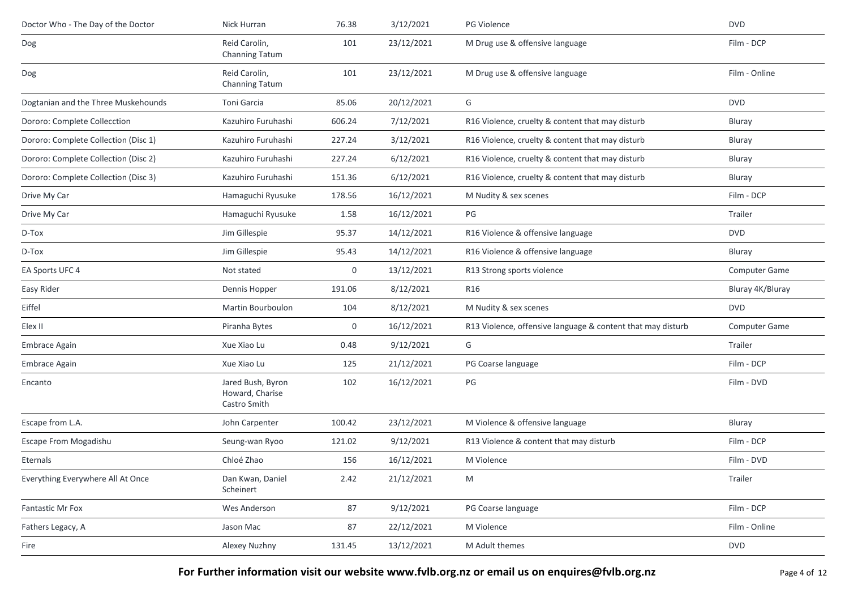| Doctor Who - The Day of the Doctor   | Nick Hurran                                          | 76.38  | 3/12/2021  | PG Violence                                                 | <b>DVD</b>           |
|--------------------------------------|------------------------------------------------------|--------|------------|-------------------------------------------------------------|----------------------|
| Dog                                  | Reid Carolin,<br>Channing Tatum                      | 101    | 23/12/2021 | M Drug use & offensive language                             | Film - DCP           |
| Dog                                  | Reid Carolin,<br>Channing Tatum                      | 101    | 23/12/2021 | M Drug use & offensive language                             | Film - Online        |
| Dogtanian and the Three Muskehounds  | Toni Garcia                                          | 85.06  | 20/12/2021 | G                                                           | <b>DVD</b>           |
| Dororo: Complete Collecction         | Kazuhiro Furuhashi                                   | 606.24 | 7/12/2021  | R16 Violence, cruelty & content that may disturb            | <b>Bluray</b>        |
| Dororo: Complete Collection (Disc 1) | Kazuhiro Furuhashi                                   | 227.24 | 3/12/2021  | R16 Violence, cruelty & content that may disturb            | Bluray               |
| Dororo: Complete Collection (Disc 2) | Kazuhiro Furuhashi                                   | 227.24 | 6/12/2021  | R16 Violence, cruelty & content that may disturb            | Bluray               |
| Dororo: Complete Collection (Disc 3) | Kazuhiro Furuhashi                                   | 151.36 | 6/12/2021  | R16 Violence, cruelty & content that may disturb            | Bluray               |
| Drive My Car                         | Hamaguchi Ryusuke                                    | 178.56 | 16/12/2021 | M Nudity & sex scenes                                       | Film - DCP           |
| Drive My Car                         | Hamaguchi Ryusuke                                    | 1.58   | 16/12/2021 | PG                                                          | Trailer              |
| D-Tox                                | Jim Gillespie                                        | 95.37  | 14/12/2021 | R16 Violence & offensive language                           | <b>DVD</b>           |
| D-Tox                                | Jim Gillespie                                        | 95.43  | 14/12/2021 | R16 Violence & offensive language                           | Bluray               |
| EA Sports UFC 4                      | Not stated                                           | 0      | 13/12/2021 | R13 Strong sports violence                                  | Computer Game        |
| Easy Rider                           | Dennis Hopper                                        | 191.06 | 8/12/2021  | R16                                                         | Bluray 4K/Bluray     |
| Eiffel                               | Martin Bourboulon                                    | 104    | 8/12/2021  | M Nudity & sex scenes                                       | <b>DVD</b>           |
| Elex II                              | Piranha Bytes                                        | 0      | 16/12/2021 | R13 Violence, offensive language & content that may disturb | <b>Computer Game</b> |
| Embrace Again                        | Xue Xiao Lu                                          | 0.48   | 9/12/2021  | G                                                           | Trailer              |
| Embrace Again                        | Xue Xiao Lu                                          | 125    | 21/12/2021 | PG Coarse language                                          | Film - DCP           |
| Encanto                              | Jared Bush, Byron<br>Howard, Charise<br>Castro Smith | 102    | 16/12/2021 | PG                                                          | Film - DVD           |
| Escape from L.A.                     | John Carpenter                                       | 100.42 | 23/12/2021 | M Violence & offensive language                             | Bluray               |
| Escape From Mogadishu                | Seung-wan Ryoo                                       | 121.02 | 9/12/2021  | R13 Violence & content that may disturb                     | Film - DCP           |
| Eternals                             | Chloé Zhao                                           | 156    | 16/12/2021 | M Violence                                                  | Film - DVD           |
| Everything Everywhere All At Once    | Dan Kwan, Daniel<br>Scheinert                        | 2.42   | 21/12/2021 | M                                                           | Trailer              |
| Fantastic Mr Fox                     | Wes Anderson                                         | 87     | 9/12/2021  | PG Coarse language                                          | Film - DCP           |
| Fathers Legacy, A                    | Jason Mac                                            | 87     | 22/12/2021 | M Violence                                                  | Film - Online        |
| Fire                                 | Alexey Nuzhny                                        | 131.45 | 13/12/2021 | M Adult themes                                              | <b>DVD</b>           |
|                                      |                                                      |        |            |                                                             |                      |

For Further information visit our website www.fvlb.org.nz or email us on enquires@fvlb.org.nz<br>Page 4 of 12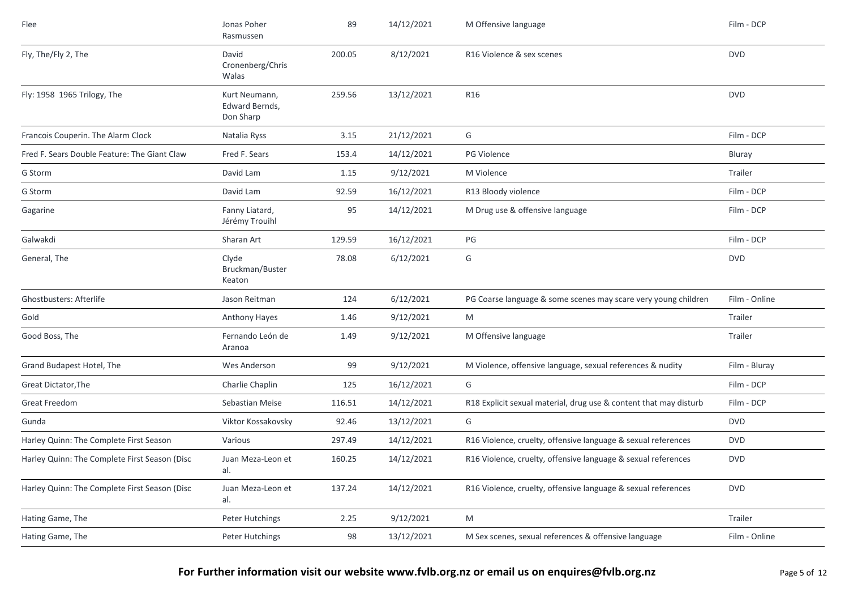| Flee                                          | Jonas Poher<br>Rasmussen                     | 89     | 14/12/2021 | M Offensive language                                              | Film - DCP    |
|-----------------------------------------------|----------------------------------------------|--------|------------|-------------------------------------------------------------------|---------------|
| Fly, The/Fly 2, The                           | David<br>Cronenberg/Chris<br>Walas           | 200.05 | 8/12/2021  | R16 Violence & sex scenes                                         | <b>DVD</b>    |
| Fly: 1958 1965 Trilogy, The                   | Kurt Neumann,<br>Edward Bernds,<br>Don Sharp | 259.56 | 13/12/2021 | R <sub>16</sub>                                                   | <b>DVD</b>    |
| Francois Couperin. The Alarm Clock            | Natalia Ryss                                 | 3.15   | 21/12/2021 | G                                                                 | Film - DCP    |
| Fred F. Sears Double Feature: The Giant Claw  | Fred F. Sears                                | 153.4  | 14/12/2021 | PG Violence                                                       | Bluray        |
| G Storm                                       | David Lam                                    | 1.15   | 9/12/2021  | M Violence                                                        | Trailer       |
| G Storm                                       | David Lam                                    | 92.59  | 16/12/2021 | R13 Bloody violence                                               | Film - DCP    |
| Gagarine                                      | Fanny Liatard,<br>Jérémy Trouihl             | 95     | 14/12/2021 | M Drug use & offensive language                                   | Film - DCP    |
| Galwakdi                                      | Sharan Art                                   | 129.59 | 16/12/2021 | PG                                                                | Film - DCP    |
| General, The                                  | Clyde<br>Bruckman/Buster<br>Keaton           | 78.08  | 6/12/2021  | G                                                                 | <b>DVD</b>    |
| <b>Ghostbusters: Afterlife</b>                | Jason Reitman                                | 124    | 6/12/2021  | PG Coarse language & some scenes may scare very young children    | Film - Online |
| Gold                                          | <b>Anthony Hayes</b>                         | 1.46   | 9/12/2021  | M                                                                 | Trailer       |
| Good Boss, The                                | Fernando León de<br>Aranoa                   | 1.49   | 9/12/2021  | M Offensive language                                              | Trailer       |
| Grand Budapest Hotel, The                     | Wes Anderson                                 | 99     | 9/12/2021  | M Violence, offensive language, sexual references & nudity        | Film - Bluray |
| Great Dictator, The                           | Charlie Chaplin                              | 125    | 16/12/2021 | G                                                                 | Film - DCP    |
| <b>Great Freedom</b>                          | Sebastian Meise                              | 116.51 | 14/12/2021 | R18 Explicit sexual material, drug use & content that may disturb | Film - DCP    |
| Gunda                                         | Viktor Kossakovsky                           | 92.46  | 13/12/2021 | G                                                                 | <b>DVD</b>    |
| Harley Quinn: The Complete First Season       | Various                                      | 297.49 | 14/12/2021 | R16 Violence, cruelty, offensive language & sexual references     | <b>DVD</b>    |
| Harley Quinn: The Complete First Season (Disc | Juan Meza-Leon et<br>al.                     | 160.25 | 14/12/2021 | R16 Violence, cruelty, offensive language & sexual references     | <b>DVD</b>    |
| Harley Quinn: The Complete First Season (Disc | Juan Meza-Leon et<br>al.                     | 137.24 | 14/12/2021 | R16 Violence, cruelty, offensive language & sexual references     | <b>DVD</b>    |
| Hating Game, The                              | Peter Hutchings                              | 2.25   | 9/12/2021  | M                                                                 | Trailer       |
| Hating Game, The                              | Peter Hutchings                              | 98     | 13/12/2021 | M Sex scenes, sexual references & offensive language              | Film - Online |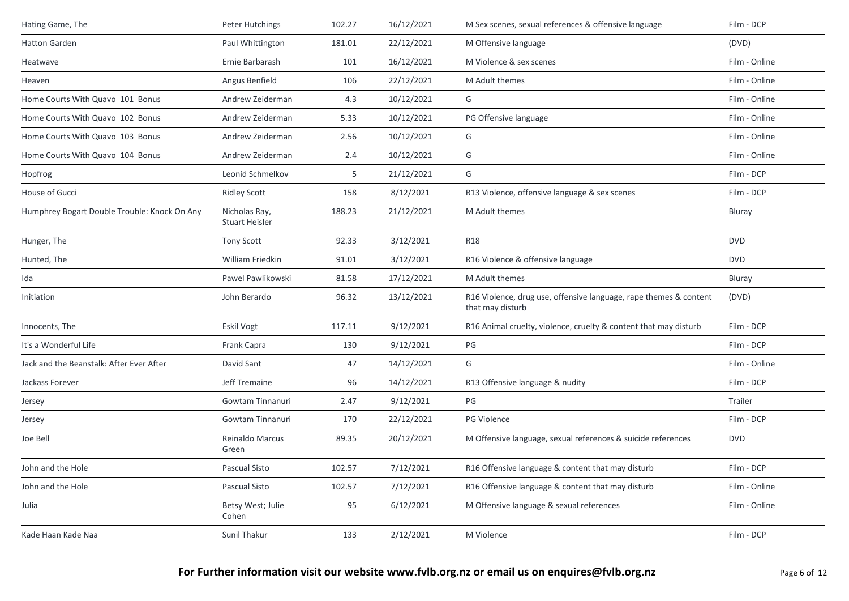| Hating Game, The                             | Peter Hutchings                        | 102.27 | 16/12/2021 | M Sex scenes, sexual references & offensive language                                  | Film - DCP    |
|----------------------------------------------|----------------------------------------|--------|------------|---------------------------------------------------------------------------------------|---------------|
| Hatton Garden                                | Paul Whittington                       | 181.01 | 22/12/2021 | M Offensive language                                                                  | (DVD)         |
| Heatwave                                     | Ernie Barbarash                        | 101    | 16/12/2021 | M Violence & sex scenes                                                               | Film - Online |
| Heaven                                       | Angus Benfield                         | 106    | 22/12/2021 | M Adult themes                                                                        | Film - Online |
| Home Courts With Quavo 101 Bonus             | Andrew Zeiderman                       | 4.3    | 10/12/2021 | G                                                                                     | Film - Online |
| Home Courts With Quavo 102 Bonus             | Andrew Zeiderman                       | 5.33   | 10/12/2021 | PG Offensive language                                                                 | Film - Online |
| Home Courts With Quavo 103 Bonus             | Andrew Zeiderman                       | 2.56   | 10/12/2021 | G                                                                                     | Film - Online |
| Home Courts With Quavo 104 Bonus             | Andrew Zeiderman                       | 2.4    | 10/12/2021 | G                                                                                     | Film - Online |
| Hopfrog                                      | Leonid Schmelkov                       | 5      | 21/12/2021 | G                                                                                     | Film - DCP    |
| House of Gucci                               | <b>Ridley Scott</b>                    | 158    | 8/12/2021  | R13 Violence, offensive language & sex scenes                                         | Film - DCP    |
| Humphrey Bogart Double Trouble: Knock On Any | Nicholas Ray,<br><b>Stuart Heisler</b> | 188.23 | 21/12/2021 | M Adult themes                                                                        | Bluray        |
| Hunger, The                                  | Tony Scott                             | 92.33  | 3/12/2021  | <b>R18</b>                                                                            | <b>DVD</b>    |
| Hunted, The                                  | William Friedkin                       | 91.01  | 3/12/2021  | R16 Violence & offensive language                                                     | <b>DVD</b>    |
| Ida                                          | Pawel Pawlikowski                      | 81.58  | 17/12/2021 | M Adult themes                                                                        | Bluray        |
| Initiation                                   | John Berardo                           | 96.32  | 13/12/2021 | R16 Violence, drug use, offensive language, rape themes & content<br>that may disturb | (DVD)         |
| Innocents, The                               | <b>Eskil Vogt</b>                      | 117.11 | 9/12/2021  | R16 Animal cruelty, violence, cruelty & content that may disturb                      | Film - DCP    |
| It's a Wonderful Life                        | Frank Capra                            | 130    | 9/12/2021  | PG                                                                                    | Film - DCP    |
| Jack and the Beanstalk: After Ever After     | David Sant                             | 47     | 14/12/2021 | G                                                                                     | Film - Online |
| Jackass Forever                              | Jeff Tremaine                          | 96     | 14/12/2021 | R13 Offensive language & nudity                                                       | Film - DCP    |
| Jersey                                       | Gowtam Tinnanuri                       | 2.47   | 9/12/2021  | PG                                                                                    | Trailer       |
| Jersey                                       | Gowtam Tinnanuri                       | 170    | 22/12/2021 | <b>PG Violence</b>                                                                    | Film - DCP    |
| Joe Bell                                     | Reinaldo Marcus<br>Green               | 89.35  | 20/12/2021 | M Offensive language, sexual references & suicide references                          | <b>DVD</b>    |
| John and the Hole                            | Pascual Sisto                          | 102.57 | 7/12/2021  | R16 Offensive language & content that may disturb                                     | Film - DCP    |
| John and the Hole                            | Pascual Sisto                          | 102.57 | 7/12/2021  | R16 Offensive language & content that may disturb                                     | Film - Online |
| Julia                                        | Betsy West; Julie<br>Cohen             | 95     | 6/12/2021  | M Offensive language & sexual references                                              | Film - Online |
| Kade Haan Kade Naa                           | Sunil Thakur                           | 133    | 2/12/2021  | M Violence                                                                            | Film - DCP    |
|                                              |                                        |        |            |                                                                                       |               |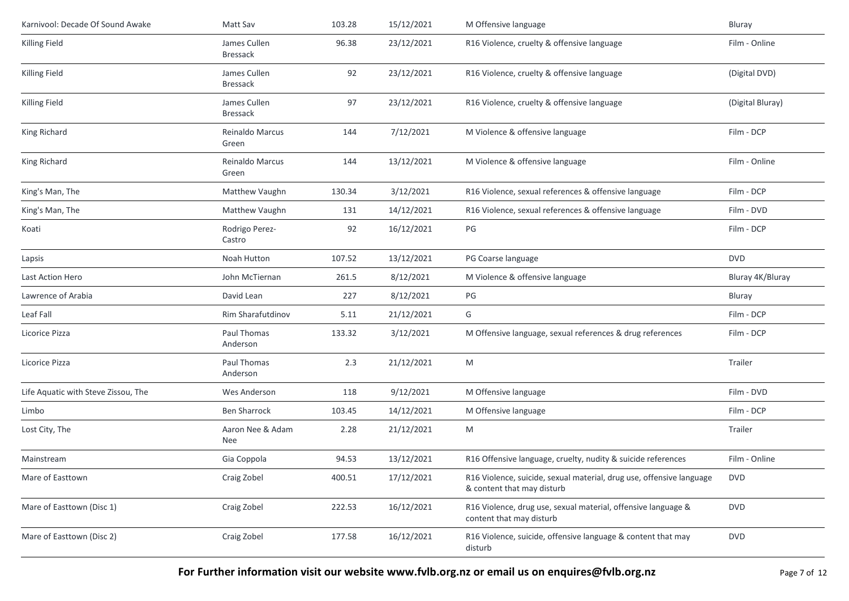| Karnivool: Decade Of Sound Awake    | Matt Sav                        | 103.28 | 15/12/2021 | M Offensive language                                                                               | Bluray           |
|-------------------------------------|---------------------------------|--------|------------|----------------------------------------------------------------------------------------------------|------------------|
| Killing Field                       | James Cullen<br>Bressack        | 96.38  | 23/12/2021 | R16 Violence, cruelty & offensive language                                                         | Film - Online    |
| Killing Field                       | James Cullen<br>Bressack        | 92     | 23/12/2021 | R16 Violence, cruelty & offensive language                                                         | (Digital DVD)    |
| Killing Field                       | James Cullen<br><b>Bressack</b> | 97     | 23/12/2021 | R16 Violence, cruelty & offensive language                                                         | (Digital Bluray) |
| King Richard                        | Reinaldo Marcus<br>Green        | 144    | 7/12/2021  | M Violence & offensive language                                                                    | Film - DCP       |
| King Richard                        | Reinaldo Marcus<br>Green        | 144    | 13/12/2021 | M Violence & offensive language                                                                    | Film - Online    |
| King's Man, The                     | Matthew Vaughn                  | 130.34 | 3/12/2021  | R16 Violence, sexual references & offensive language                                               | Film - DCP       |
| King's Man, The                     | Matthew Vaughn                  | 131    | 14/12/2021 | R16 Violence, sexual references & offensive language                                               | Film - DVD       |
| Koati                               | Rodrigo Perez-<br>Castro        | 92     | 16/12/2021 | PG                                                                                                 | Film - DCP       |
| Lapsis                              | Noah Hutton                     | 107.52 | 13/12/2021 | PG Coarse language                                                                                 | <b>DVD</b>       |
| Last Action Hero                    | John McTiernan                  | 261.5  | 8/12/2021  | M Violence & offensive language                                                                    | Bluray 4K/Bluray |
| Lawrence of Arabia                  | David Lean                      | 227    | 8/12/2021  | PG                                                                                                 | Bluray           |
| Leaf Fall                           | Rim Sharafutdinov               | 5.11   | 21/12/2021 | G                                                                                                  | Film - DCP       |
| Licorice Pizza                      | Paul Thomas<br>Anderson         | 133.32 | 3/12/2021  | M Offensive language, sexual references & drug references                                          | Film - DCP       |
| Licorice Pizza                      | Paul Thomas<br>Anderson         | 2.3    | 21/12/2021 | M                                                                                                  | Trailer          |
| Life Aquatic with Steve Zissou, The | Wes Anderson                    | 118    | 9/12/2021  | M Offensive language                                                                               | Film - DVD       |
| Limbo                               | <b>Ben Sharrock</b>             | 103.45 | 14/12/2021 | M Offensive language                                                                               | Film - DCP       |
| Lost City, The                      | Aaron Nee & Adam<br>Nee         | 2.28   | 21/12/2021 | M                                                                                                  | Trailer          |
| Mainstream                          | Gia Coppola                     | 94.53  | 13/12/2021 | R16 Offensive language, cruelty, nudity & suicide references                                       | Film - Online    |
| Mare of Easttown                    | Craig Zobel                     | 400.51 | 17/12/2021 | R16 Violence, suicide, sexual material, drug use, offensive language<br>& content that may disturb | <b>DVD</b>       |
| Mare of Easttown (Disc 1)           | Craig Zobel                     | 222.53 | 16/12/2021 | R16 Violence, drug use, sexual material, offensive language &<br>content that may disturb          | <b>DVD</b>       |
| Mare of Easttown (Disc 2)           | Craig Zobel                     | 177.58 | 16/12/2021 | R16 Violence, suicide, offensive language & content that may<br>disturb                            | <b>DVD</b>       |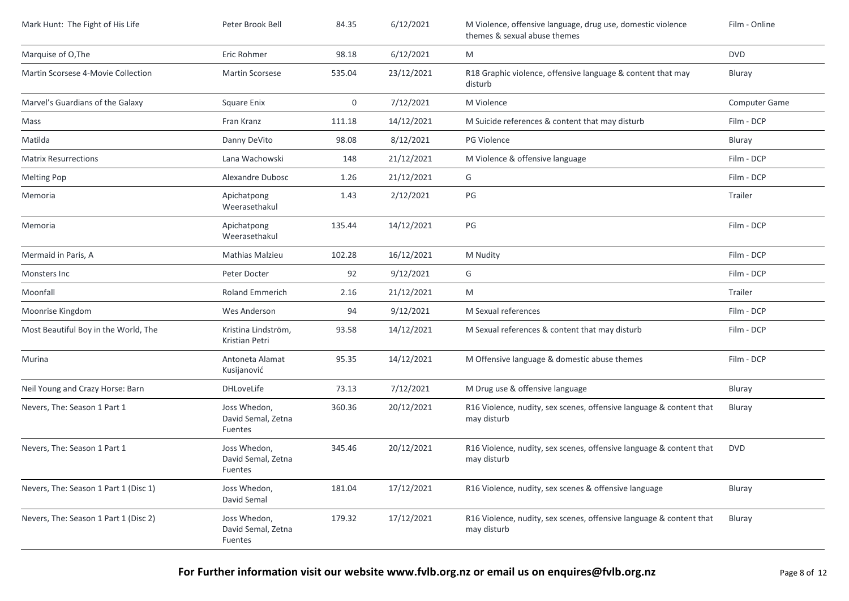| Mark Hunt: The Fight of His Life      | Peter Brook Bell                              | 84.35  | 6/12/2021  | M Violence, offensive language, drug use, domestic violence<br>themes & sexual abuse themes | Film - Online |
|---------------------------------------|-----------------------------------------------|--------|------------|---------------------------------------------------------------------------------------------|---------------|
| Marquise of O, The                    | Eric Rohmer                                   | 98.18  | 6/12/2021  | M                                                                                           | <b>DVD</b>    |
| Martin Scorsese 4-Movie Collection    | <b>Martin Scorsese</b>                        | 535.04 | 23/12/2021 | R18 Graphic violence, offensive language & content that may<br>disturb                      | Bluray        |
| Marvel's Guardians of the Galaxy      | <b>Square Enix</b>                            | 0      | 7/12/2021  | M Violence                                                                                  | Computer Game |
| Mass                                  | Fran Kranz                                    | 111.18 | 14/12/2021 | M Suicide references & content that may disturb                                             | Film - DCP    |
| Matilda                               | Danny DeVito                                  | 98.08  | 8/12/2021  | PG Violence                                                                                 | Bluray        |
| <b>Matrix Resurrections</b>           | Lana Wachowski                                | 148    | 21/12/2021 | M Violence & offensive language                                                             | Film - DCP    |
| <b>Melting Pop</b>                    | Alexandre Dubosc                              | 1.26   | 21/12/2021 | G                                                                                           | Film - DCP    |
| Memoria                               | Apichatpong<br>Weerasethakul                  | 1.43   | 2/12/2021  | PG                                                                                          | Trailer       |
| Memoria                               | Apichatpong<br>Weerasethakul                  | 135.44 | 14/12/2021 | PG                                                                                          | Film - DCP    |
| Mermaid in Paris, A                   | Mathias Malzieu                               | 102.28 | 16/12/2021 | M Nudity                                                                                    | Film - DCP    |
| Monsters Inc                          | Peter Docter                                  | 92     | 9/12/2021  | G                                                                                           | Film - DCP    |
| Moonfall                              | Roland Emmerich                               | 2.16   | 21/12/2021 | M                                                                                           | Trailer       |
| Moonrise Kingdom                      | Wes Anderson                                  | 94     | 9/12/2021  | M Sexual references                                                                         | Film - DCP    |
| Most Beautiful Boy in the World, The  | Kristina Lindström,<br>Kristian Petri         | 93.58  | 14/12/2021 | M Sexual references & content that may disturb                                              | Film - DCP    |
| Murina                                | Antoneta Alamat<br>Kusijanović                | 95.35  | 14/12/2021 | M Offensive language & domestic abuse themes                                                | Film - DCP    |
| Neil Young and Crazy Horse: Barn      | <b>DHLoveLife</b>                             | 73.13  | 7/12/2021  | M Drug use & offensive language                                                             | Bluray        |
| Nevers, The: Season 1 Part 1          | Joss Whedon,<br>David Semal, Zetna<br>Fuentes | 360.36 | 20/12/2021 | R16 Violence, nudity, sex scenes, offensive language & content that<br>may disturb          | Bluray        |
| Nevers, The: Season 1 Part 1          | Joss Whedon,<br>David Semal, Zetna<br>Fuentes | 345.46 | 20/12/2021 | R16 Violence, nudity, sex scenes, offensive language & content that<br>may disturb          | <b>DVD</b>    |
| Nevers, The: Season 1 Part 1 (Disc 1) | Joss Whedon,<br>David Semal                   | 181.04 | 17/12/2021 | R16 Violence, nudity, sex scenes & offensive language                                       | Bluray        |
| Nevers, The: Season 1 Part 1 (Disc 2) | Joss Whedon,<br>David Semal, Zetna<br>Fuentes | 179.32 | 17/12/2021 | R16 Violence, nudity, sex scenes, offensive language & content that<br>may disturb          | Bluray        |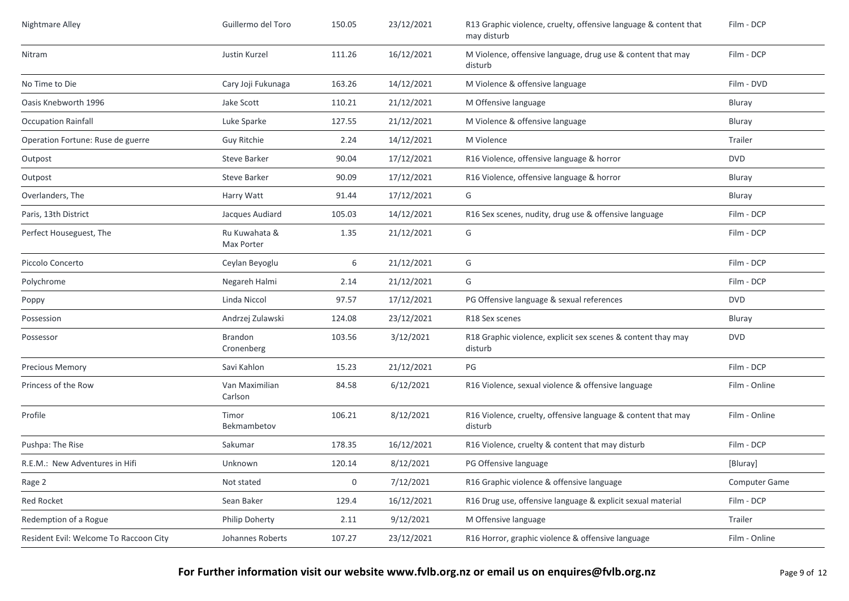| Nightmare Alley                        | Guillermo del Toro          | 150.05 | 23/12/2021 | R13 Graphic violence, cruelty, offensive language & content that<br>may disturb | Film - DCP    |
|----------------------------------------|-----------------------------|--------|------------|---------------------------------------------------------------------------------|---------------|
| Nitram                                 | Justin Kurzel               | 111.26 | 16/12/2021 | M Violence, offensive language, drug use & content that may<br>disturb          | Film - DCP    |
| No Time to Die                         | Cary Joji Fukunaga          | 163.26 | 14/12/2021 | M Violence & offensive language                                                 | Film - DVD    |
| Oasis Knebworth 1996                   | Jake Scott                  | 110.21 | 21/12/2021 | M Offensive language                                                            | Bluray        |
| <b>Occupation Rainfall</b>             | Luke Sparke                 | 127.55 | 21/12/2021 | M Violence & offensive language                                                 | <b>Bluray</b> |
| Operation Fortune: Ruse de guerre      | Guy Ritchie                 | 2.24   | 14/12/2021 | M Violence                                                                      | Trailer       |
| Outpost                                | <b>Steve Barker</b>         | 90.04  | 17/12/2021 | R16 Violence, offensive language & horror                                       | <b>DVD</b>    |
| Outpost                                | <b>Steve Barker</b>         | 90.09  | 17/12/2021 | R16 Violence, offensive language & horror                                       | Bluray        |
| Overlanders, The                       | Harry Watt                  | 91.44  | 17/12/2021 | G                                                                               | Bluray        |
| Paris, 13th District                   | Jacques Audiard             | 105.03 | 14/12/2021 | R16 Sex scenes, nudity, drug use & offensive language                           | Film - DCP    |
| Perfect Houseguest, The                | Ru Kuwahata &<br>Max Porter | 1.35   | 21/12/2021 | G                                                                               | Film - DCP    |
| Piccolo Concerto                       | Ceylan Beyoglu              | 6      | 21/12/2021 | G                                                                               | Film - DCP    |
| Polychrome                             | Negareh Halmi               | 2.14   | 21/12/2021 | G                                                                               | Film - DCP    |
| Poppy                                  | Linda Niccol                | 97.57  | 17/12/2021 | PG Offensive language & sexual references                                       | <b>DVD</b>    |
| Possession                             | Andrzej Zulawski            | 124.08 | 23/12/2021 | R18 Sex scenes                                                                  | Bluray        |
| Possessor                              | Brandon<br>Cronenberg       | 103.56 | 3/12/2021  | R18 Graphic violence, explicit sex scenes & content thay may<br>disturb         | <b>DVD</b>    |
| <b>Precious Memory</b>                 | Savi Kahlon                 | 15.23  | 21/12/2021 | PG                                                                              | Film - DCP    |
| Princess of the Row                    | Van Maximilian<br>Carlson   | 84.58  | 6/12/2021  | R16 Violence, sexual violence & offensive language                              | Film - Online |
| Profile                                | Timor<br>Bekmambetov        | 106.21 | 8/12/2021  | R16 Violence, cruelty, offensive language & content that may<br>disturb         | Film - Online |
| Pushpa: The Rise                       | Sakumar                     | 178.35 | 16/12/2021 | R16 Violence, cruelty & content that may disturb                                | Film - DCP    |
| R.E.M.: New Adventures in Hifi         | Unknown                     | 120.14 | 8/12/2021  | PG Offensive language                                                           | [Bluray]      |
| Rage 2                                 | Not stated                  | 0      | 7/12/2021  | R16 Graphic violence & offensive language                                       | Computer Game |
| Red Rocket                             | Sean Baker                  | 129.4  | 16/12/2021 | R16 Drug use, offensive language & explicit sexual material                     | Film - DCP    |
| Redemption of a Rogue                  | Philip Doherty              | 2.11   | 9/12/2021  | M Offensive language                                                            | Trailer       |
| Resident Evil: Welcome To Raccoon City | Johannes Roberts            | 107.27 | 23/12/2021 | R16 Horror, graphic violence & offensive language                               | Film - Online |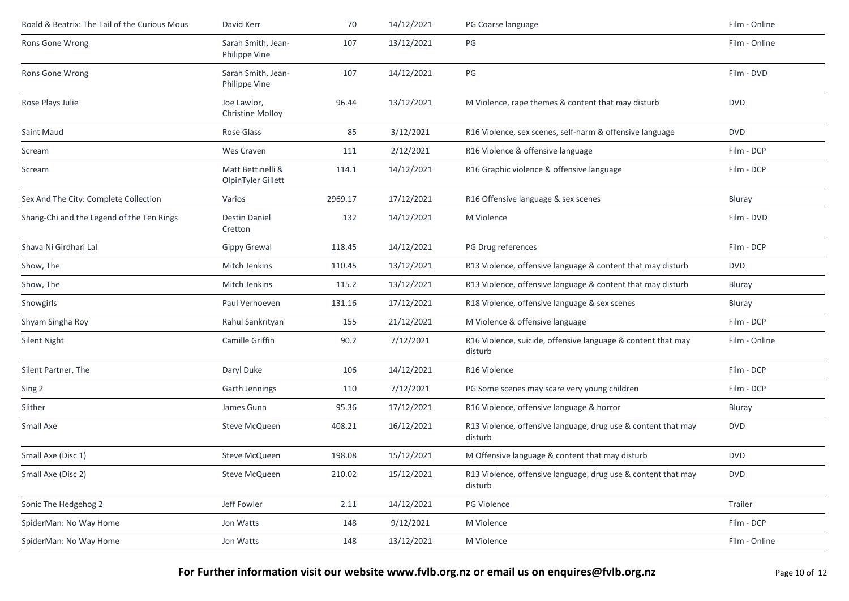| Roald & Beatrix: The Tail of the Curious Mous | David Kerr                              | 70      | 14/12/2021 | PG Coarse language                                                       | Film - Online |
|-----------------------------------------------|-----------------------------------------|---------|------------|--------------------------------------------------------------------------|---------------|
| Rons Gone Wrong                               | Sarah Smith, Jean-<br>Philippe Vine     | 107     | 13/12/2021 | PG                                                                       | Film - Online |
| Rons Gone Wrong                               | Sarah Smith, Jean-<br>Philippe Vine     | 107     | 14/12/2021 | PG                                                                       | Film - DVD    |
| Rose Plays Julie                              | Joe Lawlor,<br>Christine Molloy         | 96.44   | 13/12/2021 | M Violence, rape themes & content that may disturb                       | <b>DVD</b>    |
| Saint Maud                                    | Rose Glass                              | 85      | 3/12/2021  | R16 Violence, sex scenes, self-harm & offensive language                 | <b>DVD</b>    |
| Scream                                        | Wes Craven                              | 111     | 2/12/2021  | R16 Violence & offensive language                                        | Film - DCP    |
| Scream                                        | Matt Bettinelli &<br>OlpinTyler Gillett | 114.1   | 14/12/2021 | R16 Graphic violence & offensive language                                | Film - DCP    |
| Sex And The City: Complete Collection         | Varios                                  | 2969.17 | 17/12/2021 | R16 Offensive language & sex scenes                                      | Bluray        |
| Shang-Chi and the Legend of the Ten Rings     | <b>Destin Daniel</b><br>Cretton         | 132     | 14/12/2021 | M Violence                                                               | Film - DVD    |
| Shava Ni Girdhari Lal                         | <b>Gippy Grewal</b>                     | 118.45  | 14/12/2021 | PG Drug references                                                       | Film - DCP    |
| Show, The                                     | Mitch Jenkins                           | 110.45  | 13/12/2021 | R13 Violence, offensive language & content that may disturb              | <b>DVD</b>    |
| Show, The                                     | Mitch Jenkins                           | 115.2   | 13/12/2021 | R13 Violence, offensive language & content that may disturb              | Bluray        |
| Showgirls                                     | Paul Verhoeven                          | 131.16  | 17/12/2021 | R18 Violence, offensive language & sex scenes                            | Bluray        |
| Shyam Singha Roy                              | Rahul Sankrityan                        | 155     | 21/12/2021 | M Violence & offensive language                                          | Film - DCP    |
| Silent Night                                  | Camille Griffin                         | 90.2    | 7/12/2021  | R16 Violence, suicide, offensive language & content that may<br>disturb  | Film - Online |
| Silent Partner, The                           | Daryl Duke                              | 106     | 14/12/2021 | R16 Violence                                                             | Film - DCP    |
| Sing 2                                        | Garth Jennings                          | 110     | 7/12/2021  | PG Some scenes may scare very young children                             | Film - DCP    |
| Slither                                       | James Gunn                              | 95.36   | 17/12/2021 | R16 Violence, offensive language & horror                                | Bluray        |
| Small Axe                                     | Steve McQueen                           | 408.21  | 16/12/2021 | R13 Violence, offensive language, drug use & content that may<br>disturb | <b>DVD</b>    |
| Small Axe (Disc 1)                            | Steve McQueen                           | 198.08  | 15/12/2021 | M Offensive language & content that may disturb                          | <b>DVD</b>    |
| Small Axe (Disc 2)                            | Steve McQueen                           | 210.02  | 15/12/2021 | R13 Violence, offensive language, drug use & content that may<br>disturb | <b>DVD</b>    |
| Sonic The Hedgehog 2                          | Jeff Fowler                             | 2.11    | 14/12/2021 | PG Violence                                                              | Trailer       |
| SpiderMan: No Way Home                        | Jon Watts                               | 148     | 9/12/2021  | M Violence                                                               | Film - DCP    |
| SpiderMan: No Way Home                        | Jon Watts                               | 148     | 13/12/2021 | M Violence                                                               | Film - Online |
|                                               |                                         |         |            |                                                                          |               |

**For Further information visit our website www.fvlb.org.nz or email us on enquires@fvlb.org.nz** Page 10 of 12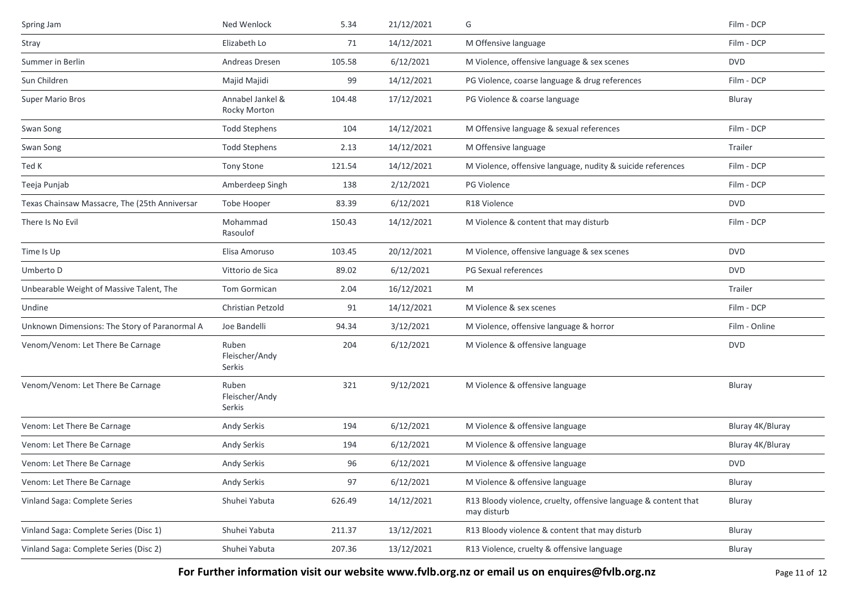| Spring Jam                                    | Ned Wenlock                       | 5.34   | 21/12/2021 | G                                                                              | Film - DCP       |
|-----------------------------------------------|-----------------------------------|--------|------------|--------------------------------------------------------------------------------|------------------|
| Stray                                         | Elizabeth Lo                      | 71     | 14/12/2021 | M Offensive language                                                           | Film - DCP       |
| Summer in Berlin                              | Andreas Dresen                    | 105.58 | 6/12/2021  | M Violence, offensive language & sex scenes                                    | <b>DVD</b>       |
| Sun Children                                  | Majid Majidi                      | 99     | 14/12/2021 | PG Violence, coarse language & drug references                                 | Film - DCP       |
| Super Mario Bros                              | Annabel Jankel &<br>Rocky Morton  | 104.48 | 17/12/2021 | PG Violence & coarse language                                                  | Bluray           |
| Swan Song                                     | <b>Todd Stephens</b>              | 104    | 14/12/2021 | M Offensive language & sexual references                                       | Film - DCP       |
| Swan Song                                     | <b>Todd Stephens</b>              | 2.13   | 14/12/2021 | M Offensive language                                                           | Trailer          |
| Ted K                                         | Tony Stone                        | 121.54 | 14/12/2021 | M Violence, offensive language, nudity & suicide references                    | Film - DCP       |
| Teeja Punjab                                  | Amberdeep Singh                   | 138    | 2/12/2021  | PG Violence                                                                    | Film - DCP       |
| Texas Chainsaw Massacre, The (25th Anniversar | Tobe Hooper                       | 83.39  | 6/12/2021  | R18 Violence                                                                   | <b>DVD</b>       |
| There Is No Evil                              | Mohammad<br>Rasoulof              | 150.43 | 14/12/2021 | M Violence & content that may disturb                                          | Film - DCP       |
| Time Is Up                                    | Elisa Amoruso                     | 103.45 | 20/12/2021 | M Violence, offensive language & sex scenes                                    | <b>DVD</b>       |
| Umberto D                                     | Vittorio de Sica                  | 89.02  | 6/12/2021  | PG Sexual references                                                           | <b>DVD</b>       |
| Unbearable Weight of Massive Talent, The      | <b>Tom Gormican</b>               | 2.04   | 16/12/2021 | M                                                                              | Trailer          |
| Undine                                        | Christian Petzold                 | 91     | 14/12/2021 | M Violence & sex scenes                                                        | Film - DCP       |
| Unknown Dimensions: The Story of Paranormal A | Joe Bandelli                      | 94.34  | 3/12/2021  | M Violence, offensive language & horror                                        | Film - Online    |
| Venom/Venom: Let There Be Carnage             | Ruben<br>Fleischer/Andy<br>Serkis | 204    | 6/12/2021  | M Violence & offensive language                                                | <b>DVD</b>       |
| Venom/Venom: Let There Be Carnage             | Ruben<br>Fleischer/Andy<br>Serkis | 321    | 9/12/2021  | M Violence & offensive language                                                | Bluray           |
| Venom: Let There Be Carnage                   | Andy Serkis                       | 194    | 6/12/2021  | M Violence & offensive language                                                | Bluray 4K/Bluray |
| Venom: Let There Be Carnage                   | Andy Serkis                       | 194    | 6/12/2021  | M Violence & offensive language                                                | Bluray 4K/Bluray |
| Venom: Let There Be Carnage                   | Andy Serkis                       | 96     | 6/12/2021  | M Violence & offensive language                                                | <b>DVD</b>       |
| Venom: Let There Be Carnage                   | Andy Serkis                       | 97     | 6/12/2021  | M Violence & offensive language                                                | Bluray           |
| Vinland Saga: Complete Series                 | Shuhei Yabuta                     | 626.49 | 14/12/2021 | R13 Bloody violence, cruelty, offensive language & content that<br>may disturb | Bluray           |
| Vinland Saga: Complete Series (Disc 1)        | Shuhei Yabuta                     | 211.37 | 13/12/2021 | R13 Bloody violence & content that may disturb                                 | Bluray           |
| Vinland Saga: Complete Series (Disc 2)        | Shuhei Yabuta                     | 207.36 | 13/12/2021 | R13 Violence, cruelty & offensive language                                     | Bluray           |

**For Further information visit our website www.fvlb.org.nz or email us on enquires@fvlb.org.nz** Page 11 of 12